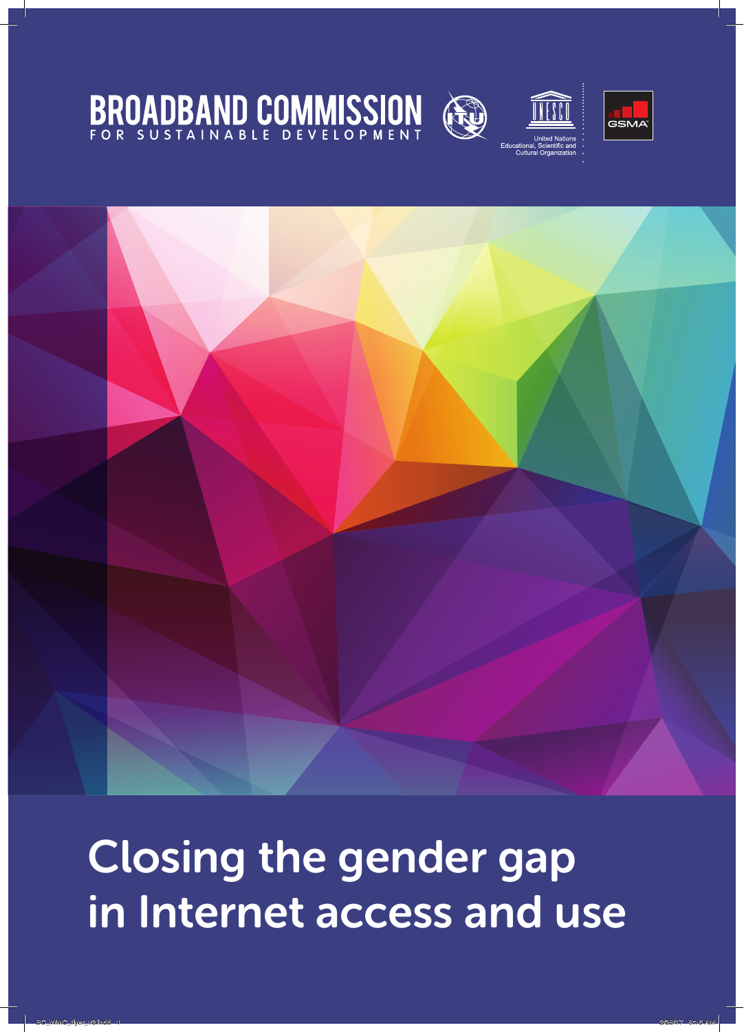## **BROADBAND COMMISSION**









Closing the gender gap in Internet access and use

BC\_WMC\_flyer\_v2.indd 1 2/28/17 9:16 AM